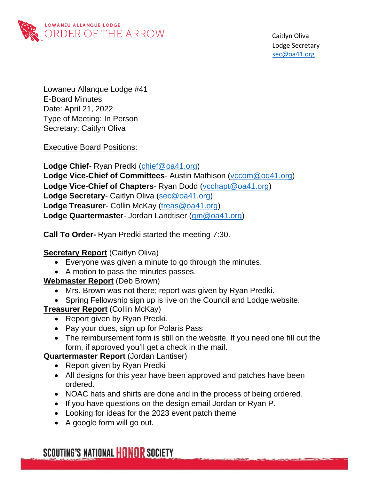

 Caitlyn Oliva Lodge Secretary sec@oa41.org

Lowaneu Allanque Lodge #41 E-Board Minutes Date: April 21, 2022 Type of Meeting: In Person Secretary: Caitlyn Oliva

Executive Board Positions:

**Lodge Chief**- Ryan Predki [\(chief@oa41.org\)](mailto:chief@oa41.org) **Lodge Vice-Chief of Committees**- Austin Mathison [\(vccom@oq41.org\)](mailto:vccom@oq41.org) **Lodge Vice-Chief of Chapters**- Ryan Dodd [\(vcchapt@oa41.org\)](mailto:vcchapt@oa41.org) **Lodge Secretary**- Caitlyn Oliva [\(sec@oa41.org\)](mailto:sec@oa41.org) **Lodge Treasurer**- Collin McKay [\(treas@oa41.org\)](mailto:treas@oa41.org) **Lodge Quartermaster**- Jordan Landtiser [\(qm@oa41.org\)](mailto:qm@oa41.org)

**Call To Order-** Ryan Predki started the meeting 7:30.

## **Secretary Report** (Caitlyn Oliva)

- Everyone was given a minute to go through the minutes.
- A motion to pass the minutes passes.

#### **Webmaster Report** (Deb Brown)

- Mrs. Brown was not there; report was given by Ryan Predki.
- Spring Fellowship sign up is live on the Council and Lodge website.

**Treasurer Report** (Collin McKay)

- Report given by Ryan Predki.
- Pay your dues, sign up for Polaris Pass
- The reimbursement form is still on the website. If you need one fill out the form, if approved you'll get a check in the mail.

**Quartermaster Report** (Jordan Lantiser)

- Report given by Ryan Predki
- All designs for this year have been approved and patches have been ordered.
- NOAC hats and shirts are done and in the process of being ordered.
- If you have questions on the design email Jordan or Ryan P.
- Looking for ideas for the 2023 event patch theme
- A google form will go out.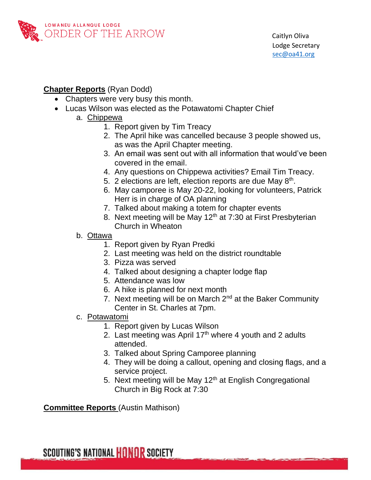

### **Chapter Reports** (Ryan Dodd)

- Chapters were very busy this month.
- Lucas Wilson was elected as the Potawatomi Chapter Chief
	- a. Chippewa
		- 1. Report given by Tim Treacy
		- 2. The April hike was cancelled because 3 people showed us, as was the April Chapter meeting.
		- 3. An email was sent out with all information that would've been covered in the email.
		- 4. Any questions on Chippewa activities? Email Tim Treacy.
		- 5. 2 elections are left, election reports are due May  $8<sup>th</sup>$ .
		- 6. May camporee is May 20-22, looking for volunteers, Patrick Herr is in charge of OA planning
		- 7. Talked about making a totem for chapter events
		- 8. Next meeting will be May  $12<sup>th</sup>$  at 7:30 at First Presbyterian Church in Wheaton
		- b. Ottawa
			- 1. Report given by Ryan Predki
			- 2. Last meeting was held on the district roundtable
			- 3. Pizza was served
			- 4. Talked about designing a chapter lodge flap
			- 5. Attendance was low
			- 6. A hike is planned for next month
			- 7. Next meeting will be on March  $2<sup>nd</sup>$  at the Baker Community Center in St. Charles at 7pm.
		- c. Potawatomi
			- 1. Report given by Lucas Wilson
			- 2. Last meeting was April  $17<sup>th</sup>$  where 4 youth and 2 adults attended.
			- 3. Talked about Spring Camporee planning
			- 4. They will be doing a callout, opening and closing flags, and a service project.
			- 5. Next meeting will be May  $12<sup>th</sup>$  at English Congregational Church in Big Rock at 7:30

**Committee Reports** (Austin Mathison)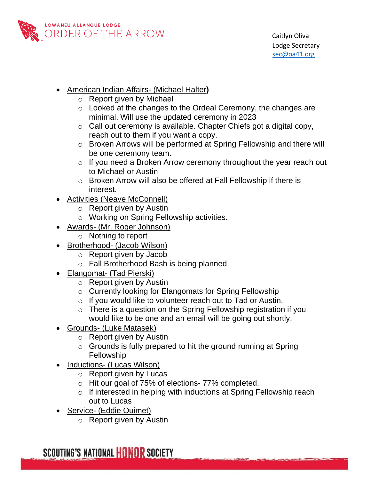

- American Indian Affairs- (Michael Halter**)**
	- o Report given by Michael
	- o Looked at the changes to the Ordeal Ceremony, the changes are minimal. Will use the updated ceremony in 2023
	- o Call out ceremony is available. Chapter Chiefs got a digital copy, reach out to them if you want a copy.
	- o Broken Arrows will be performed at Spring Fellowship and there will be one ceremony team.
	- $\circ$  If you need a Broken Arrow ceremony throughout the year reach out to Michael or Austin
	- o Broken Arrow will also be offered at Fall Fellowship if there is interest.
- Activities (Neave McConnell)
	- o Report given by Austin
	- o Working on Spring Fellowship activities.
- Awards- (Mr. Roger Johnson)
	- o Nothing to report
- Brotherhood- (Jacob Wilson)
	- o Report given by Jacob
	- o Fall Brotherhood Bash is being planned
- Elangomat- (Tad Pierski)
	- o Report given by Austin
	- o Currently looking for Elangomats for Spring Fellowship
	- o If you would like to volunteer reach out to Tad or Austin.
	- $\circ$  There is a question on the Spring Fellowship registration if you would like to be one and an email will be going out shortly.
- Grounds- (Luke Matasek)
	- o Report given by Austin
	- $\circ$  Grounds is fully prepared to hit the ground running at Spring Fellowship
- Inductions- (Lucas Wilson)
	- o Report given by Lucas
	- o Hit our goal of 75% of elections- 77% completed.
	- o If interested in helping with inductions at Spring Fellowship reach out to Lucas
- Service- (Eddie Ouimet)
	- o Report given by Austin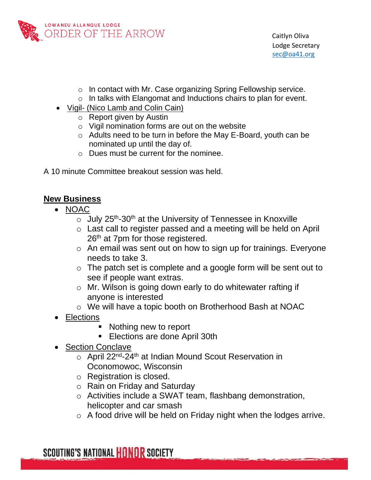

- o In contact with Mr. Case organizing Spring Fellowship service.
- o In talks with Elangomat and Inductions chairs to plan for event.
- Vigil- (Nico Lamb and Colin Cain)
	- o Report given by Austin
	- $\circ$  Vigil nomination forms are out on the website
	- o Adults need to be turn in before the May E-Board, youth can be nominated up until the day of.
	- o Dues must be current for the nominee.
- A 10 minute Committee breakout session was held.

## **New Business**

- NOAC
	- $\circ$  July 25<sup>th</sup>-30<sup>th</sup> at the University of Tennessee in Knoxville
	- o Last call to register passed and a meeting will be held on April 26<sup>th</sup> at 7pm for those registered.
	- o An email was sent out on how to sign up for trainings. Everyone needs to take 3.
	- o The patch set is complete and a google form will be sent out to see if people want extras.
	- o Mr. Wilson is going down early to do whitewater rafting if anyone is interested
	- o We will have a topic booth on Brotherhood Bash at NOAC
- Elections
	- Nothing new to report
	- **Elections are done April 30th**
- Section Conclave
	- o April 22<sup>nd</sup>-24<sup>th</sup> at Indian Mound Scout Reservation in Oconomowoc, Wisconsin
	- o Registration is closed.
	- o Rain on Friday and Saturday
	- o Activities include a SWAT team, flashbang demonstration, helicopter and car smash
	- o A food drive will be held on Friday night when the lodges arrive.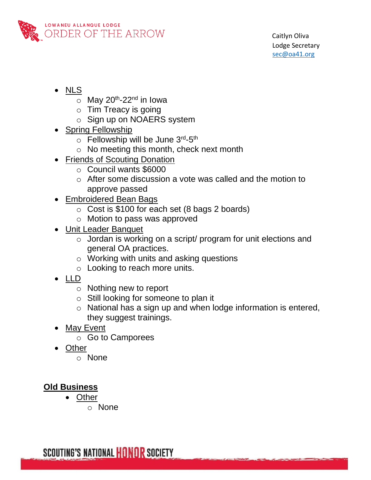

- NLS
	- $\circ$  May 20<sup>th</sup>-22<sup>nd</sup> in Iowa
	- $\circ$  Tim Treacy is going
	- o Sign up on NOAERS system
- Spring Fellowship
	- o Fellowship will be June 3rd-5th
	- o No meeting this month, check next month
- Friends of Scouting Donation
	- o Council wants \$6000
	- o After some discussion a vote was called and the motion to approve passed
- **Embroidered Bean Bags** 
	- o Cost is \$100 for each set (8 bags 2 boards)
	- o Motion to pass was approved
- Unit Leader Banquet
	- o Jordan is working on a script/ program for unit elections and general OA practices.
	- o Working with units and asking questions
	- o Looking to reach more units.
- LLD
	- o Nothing new to report
	- o Still looking for someone to plan it
	- o National has a sign up and when lodge information is entered, they suggest trainings.
- May Event
	- o Go to Camporees
- Other
	- o None

# **Old Business**

- Other
	- o None